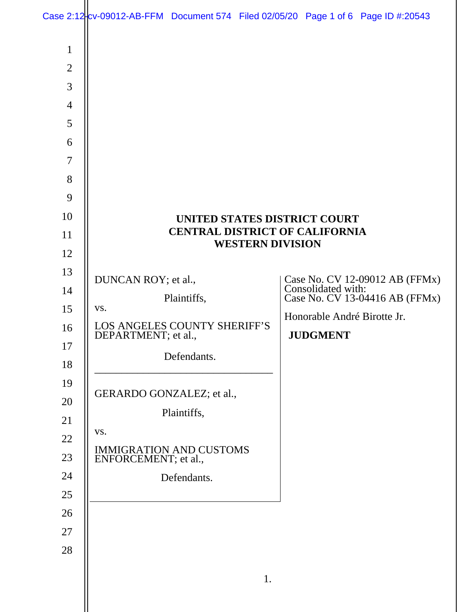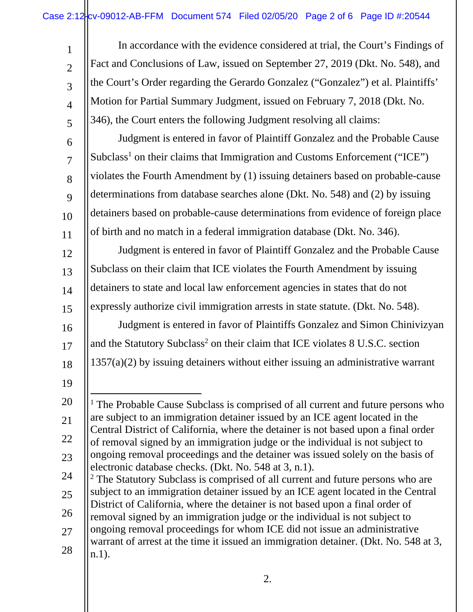| $\mathbf{1}$   | In accordance with the evidence considered at trial, the Court's Findings of                                                                                        |
|----------------|---------------------------------------------------------------------------------------------------------------------------------------------------------------------|
| $\overline{2}$ | Fact and Conclusions of Law, issued on September 27, 2019 (Dkt. No. 548), and                                                                                       |
| 3              | the Court's Order regarding the Gerardo Gonzalez ("Gonzalez") et al. Plaintiffs'                                                                                    |
| $\overline{4}$ | Motion for Partial Summary Judgment, issued on February 7, 2018 (Dkt. No.                                                                                           |
| 5              | 346), the Court enters the following Judgment resolving all claims:                                                                                                 |
| 6              | Judgment is entered in favor of Plaintiff Gonzalez and the Probable Cause                                                                                           |
| $\overline{7}$ | Subclass <sup>1</sup> on their claims that Immigration and Customs Enforcement ("ICE")                                                                              |
| 8              | violates the Fourth Amendment by (1) issuing detainers based on probable-cause                                                                                      |
| 9              | determinations from database searches alone (Dkt. No. 548) and (2) by issuing                                                                                       |
| 10             | detainers based on probable-cause determinations from evidence of foreign place                                                                                     |
| 11             | of birth and no match in a federal immigration database (Dkt. No. 346).                                                                                             |
| 12             | Judgment is entered in favor of Plaintiff Gonzalez and the Probable Cause                                                                                           |
| 13             | Subclass on their claim that ICE violates the Fourth Amendment by issuing                                                                                           |
| 14             | detainers to state and local law enforcement agencies in states that do not                                                                                         |
| 15             | expressly authorize civil immigration arrests in state statute. (Dkt. No. 548).                                                                                     |
| 16             | Judgment is entered in favor of Plaintiffs Gonzalez and Simon Chinivizyan                                                                                           |
| 17             | and the Statutory Subclass <sup>2</sup> on their claim that ICE violates 8 U.S.C. section                                                                           |
| 18             | $1357(a)(2)$ by issuing detainers without either issuing an administrative warrant                                                                                  |
| 19             |                                                                                                                                                                     |
| 20             | <sup>1</sup> The Probable Cause Subclass is comprised of all current and future persons who                                                                         |
| 21             | are subject to an immigration detainer issued by an ICE agent located in the                                                                                        |
| 22             | Central District of California, where the detainer is not based upon a final order<br>of removal signed by an immigration judge or the individual is not subject to |
| 23             | ongoing removal proceedings and the detainer was issued solely on the basis of                                                                                      |
| 24             | electronic database checks. (Dkt. No. 548 at 3, n.1).<br><sup>2</sup> The Statutory Subclass is comprised of all current and future persons who are                 |
| 25             | subject to an immigration detainer issued by an ICE agent located in the Central                                                                                    |
| 26             | District of California, where the detainer is not based upon a final order of<br>removal signed by an immigration judge or the individual is not subject to         |
| 27             | ongoing removal proceedings for whom ICE did not issue an administrative                                                                                            |
| 28             | warrant of arrest at the time it issued an immigration detainer. (Dkt. No. 548 at 3,<br>$n.1$ ).                                                                    |
|                |                                                                                                                                                                     |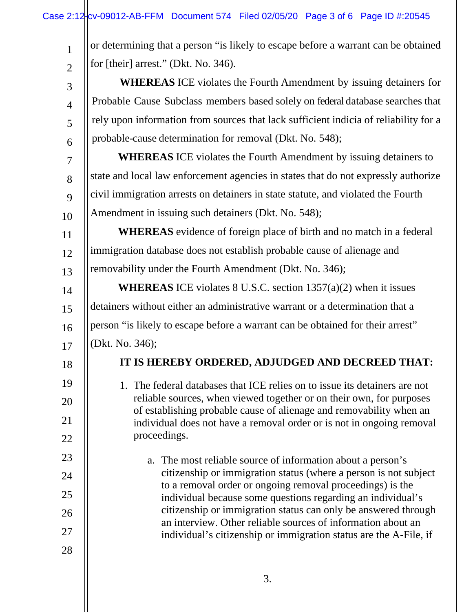| $\mathbf{1}$   | or determining that a person "is likely to escape before a warrant can be obtained                                                           |
|----------------|----------------------------------------------------------------------------------------------------------------------------------------------|
| $\overline{2}$ | for [their] arrest." (Dkt. No. 346).                                                                                                         |
| 3              | <b>WHEREAS</b> ICE violates the Fourth Amendment by issuing detainers for                                                                    |
| $\overline{4}$ | Probable Cause Subclass members based solely on federal database searches that                                                               |
| 5              | rely upon information from sources that lack sufficient indicia of reliability for a                                                         |
| 6              | probable-cause determination for removal (Dkt. No. 548);                                                                                     |
| $\overline{7}$ | <b>WHEREAS</b> ICE violates the Fourth Amendment by issuing detainers to                                                                     |
| 8              | state and local law enforcement agencies in states that do not expressly authorize                                                           |
| 9              | civil immigration arrests on detainers in state statute, and violated the Fourth                                                             |
| 10             | Amendment in issuing such detainers (Dkt. No. 548);                                                                                          |
| 11             | <b>WHEREAS</b> evidence of foreign place of birth and no match in a federal                                                                  |
| 12             | immigration database does not establish probable cause of alienage and                                                                       |
| 13             | removability under the Fourth Amendment (Dkt. No. 346);                                                                                      |
| 14             | <b>WHEREAS</b> ICE violates 8 U.S.C. section $1357(a)(2)$ when it issues                                                                     |
| 15             | detainers without either an administrative warrant or a determination that a                                                                 |
| 16             | person "is likely to escape before a warrant can be obtained for their arrest"                                                               |
| 17             | (Dkt. No. 346);                                                                                                                              |
| 18             | IT IS HEREBY ORDERED, ADJUDGED AND DECREED THAT:                                                                                             |
| 19             | 1. The federal databases that ICE relies on to issue its detainers are not                                                                   |
| 20             | reliable sources, when viewed together or on their own, for purposes                                                                         |
| 21             | of establishing probable cause of alienage and removability when an<br>individual does not have a removal order or is not in ongoing removal |
| 22             | proceedings.                                                                                                                                 |
| 23             | a. The most reliable source of information about a person's                                                                                  |
| 24             | citizenship or immigration status (where a person is not subject                                                                             |
| 25             | to a removal order or ongoing removal proceedings) is the<br>individual because some questions regarding an individual's                     |
| 26             | citizenship or immigration status can only be answered through                                                                               |
| 27             | an interview. Other reliable sources of information about an<br>individual's citizenship or immigration status are the A-File, if            |
| 28             |                                                                                                                                              |
|                |                                                                                                                                              |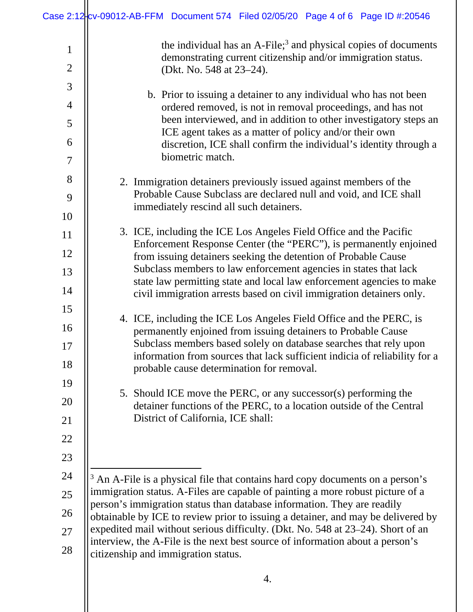|                                | Case 2:12 cv-09012-AB-FFM Document 574 Filed 02/05/20 Page 4 of 6 Page ID #:20546                                                                                                                                                                                                                                                                                      |
|--------------------------------|------------------------------------------------------------------------------------------------------------------------------------------------------------------------------------------------------------------------------------------------------------------------------------------------------------------------------------------------------------------------|
| $\mathbf{1}$<br>$\overline{2}$ | the individual has an A-File; <sup>3</sup> and physical copies of documents<br>demonstrating current citizenship and/or immigration status.<br>(Dkt. No. 548 at 23–24).                                                                                                                                                                                                |
| 3                              |                                                                                                                                                                                                                                                                                                                                                                        |
| $\overline{4}$                 | b. Prior to issuing a detainer to any individual who has not been<br>ordered removed, is not in removal proceedings, and has not                                                                                                                                                                                                                                       |
| 5                              | been interviewed, and in addition to other investigatory steps an                                                                                                                                                                                                                                                                                                      |
| 6                              | ICE agent takes as a matter of policy and/or their own<br>discretion, ICE shall confirm the individual's identity through a                                                                                                                                                                                                                                            |
| $\tau$                         | biometric match.                                                                                                                                                                                                                                                                                                                                                       |
| 8                              | 2. Immigration detainers previously issued against members of the                                                                                                                                                                                                                                                                                                      |
| 9                              | Probable Cause Subclass are declared null and void, and ICE shall                                                                                                                                                                                                                                                                                                      |
| 10                             | immediately rescind all such detainers.                                                                                                                                                                                                                                                                                                                                |
| 11                             | 3. ICE, including the ICE Los Angeles Field Office and the Pacific                                                                                                                                                                                                                                                                                                     |
| 12                             | Enforcement Response Center (the "PERC"), is permanently enjoined<br>from issuing detainers seeking the detention of Probable Cause                                                                                                                                                                                                                                    |
| 13                             | Subclass members to law enforcement agencies in states that lack                                                                                                                                                                                                                                                                                                       |
| 14                             | state law permitting state and local law enforcement agencies to make<br>civil immigration arrests based on civil immigration detainers only.                                                                                                                                                                                                                          |
| 15                             |                                                                                                                                                                                                                                                                                                                                                                        |
| 16                             | 4. ICE, including the ICE Los Angeles Field Office and the PERC, is<br>permanently enjoined from issuing detainers to Probable Cause                                                                                                                                                                                                                                   |
| 17                             | Subclass members based solely on database searches that rely upon                                                                                                                                                                                                                                                                                                      |
| 18                             | information from sources that lack sufficient indicia of reliability for a<br>probable cause determination for removal.                                                                                                                                                                                                                                                |
| 19                             | 5. Should ICE move the PERC, or any successor(s) performing the                                                                                                                                                                                                                                                                                                        |
| 20                             | detainer functions of the PERC, to a location outside of the Central                                                                                                                                                                                                                                                                                                   |
| 21                             | District of California, ICE shall:                                                                                                                                                                                                                                                                                                                                     |
| 22                             |                                                                                                                                                                                                                                                                                                                                                                        |
| 23                             |                                                                                                                                                                                                                                                                                                                                                                        |
| 24                             | <sup>3</sup> An A-File is a physical file that contains hard copy documents on a person's                                                                                                                                                                                                                                                                              |
| 25                             | immigration status. A-Files are capable of painting a more robust picture of a                                                                                                                                                                                                                                                                                         |
| 26                             | person's immigration status than database information. They are readily<br>obtainable by ICE to review prior to issuing a detainer, and may be delivered by<br>expedited mail without serious difficulty. (Dkt. No. 548 at 23–24). Short of an<br>interview, the A-File is the next best source of information about a person's<br>citizenship and immigration status. |
| 27                             |                                                                                                                                                                                                                                                                                                                                                                        |
| 28                             |                                                                                                                                                                                                                                                                                                                                                                        |
|                                | 4.                                                                                                                                                                                                                                                                                                                                                                     |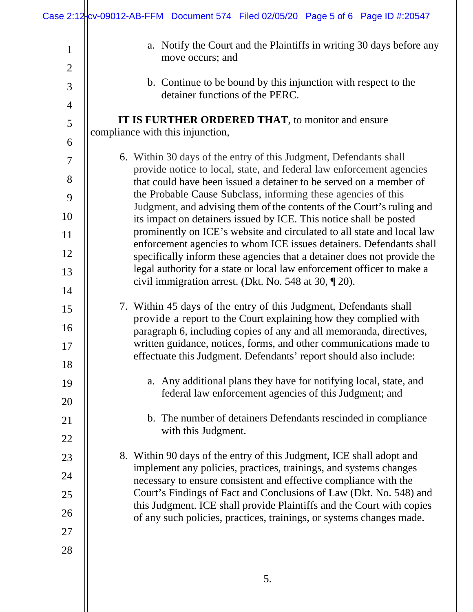|                     | Case 2:12-cv-09012-AB-FFM Document 574 Filed 02/05/20 Page 5 of 6 Page ID #:20547                                                              |
|---------------------|------------------------------------------------------------------------------------------------------------------------------------------------|
| $\mathbf{1}$        | a. Notify the Court and the Plaintiffs in writing 30 days before any<br>move occurs; and                                                       |
| $\overline{2}$      |                                                                                                                                                |
| 3                   | b. Continue to be bound by this injunction with respect to the<br>detainer functions of the PERC.                                              |
| $\overline{4}$      | IT IS FURTHER ORDERED THAT, to monitor and ensure                                                                                              |
| $\mathfrak{S}$<br>6 | compliance with this injunction,                                                                                                               |
| 7                   | 6. Within 30 days of the entry of this Judgment, Defendants shall                                                                              |
| 8                   | provide notice to local, state, and federal law enforcement agencies<br>that could have been issued a detainer to be served on a member of     |
| 9                   | the Probable Cause Subclass, informing these agencies of this                                                                                  |
| 10                  | Judgment, and advising them of the contents of the Court's ruling and<br>its impact on detainers issued by ICE. This notice shall be posted    |
| 11                  | prominently on ICE's website and circulated to all state and local law                                                                         |
| 12                  | enforcement agencies to whom ICE issues detainers. Defendants shall<br>specifically inform these agencies that a detainer does not provide the |
| 13                  | legal authority for a state or local law enforcement officer to make a                                                                         |
| 14                  | civil immigration arrest. (Dkt. No. 548 at 30, ¶ 20).                                                                                          |
| 15                  | 7. Within 45 days of the entry of this Judgment, Defendants shall                                                                              |
| 16                  | provide a report to the Court explaining how they complied with                                                                                |
| 17                  | paragraph 6, including copies of any and all memoranda, directives,<br>written guidance, notices, forms, and other communications made to      |
| 18                  | effectuate this Judgment. Defendants' report should also include:                                                                              |
| 19                  | a. Any additional plans they have for notifying local, state, and                                                                              |
| 20                  | federal law enforcement agencies of this Judgment; and                                                                                         |
| 21                  | b. The number of detainers Defendants rescinded in compliance                                                                                  |
| 22                  | with this Judgment.                                                                                                                            |
| 23                  | 8. Within 90 days of the entry of this Judgment, ICE shall adopt and                                                                           |
| 24                  | implement any policies, practices, trainings, and systems changes<br>necessary to ensure consistent and effective compliance with the          |
| 25                  | Court's Findings of Fact and Conclusions of Law (Dkt. No. 548) and                                                                             |
| 26                  | this Judgment. ICE shall provide Plaintiffs and the Court with copies<br>of any such policies, practices, trainings, or systems changes made.  |
| 27                  |                                                                                                                                                |
| 28                  |                                                                                                                                                |
|                     |                                                                                                                                                |
|                     | 5.                                                                                                                                             |